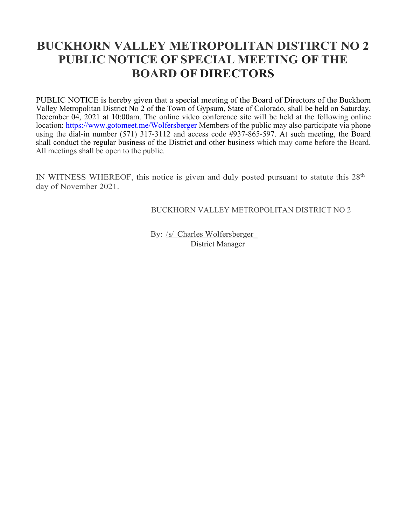# **BUCKHORN VALLEY METROPOLITAN DISTIRCT NO 2 PUBLIC NOTICE OF SPECIAL MEETING OF THE BOARD OF DIRECTORS**

PUBLIC NOTICE is hereby given that a special meeting of the Board of Directors of the Buckhorn Valley Metropolitan District No 2 of the Town of Gypsum, State of Colorado, shall be held on Saturday, December 04, 2021 at 10:00am. The online video conference site will be held at the following online location:<https://www.gotomeet.me/Wolfersberger> Members of the public may also participate via phone using the dial-in number (571) 317-3112 and access code #937-865-597. At such meeting, the Board shall conduct the regular business of the District and other business which may come before the Board. All meetings shall be open to the public.

IN WITNESS WHEREOF, this notice is given and duly posted pursuant to statute this  $28<sup>th</sup>$ day of November 2021.

BUCKHORN VALLEY METROPOLITAN DISTRICT NO 2

By: /s/ Charles Wolfersberger\_ District Manager